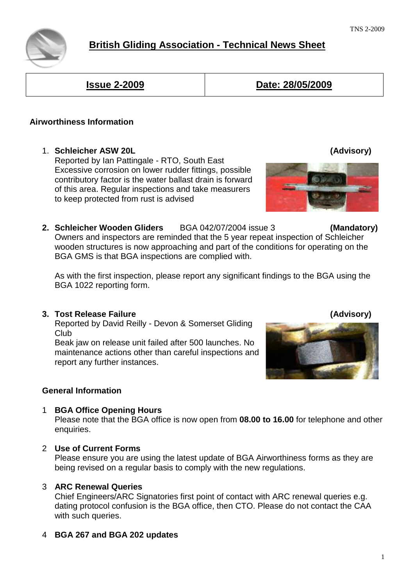# **British Gliding Association - Technical News Sheet**

**Issue 2-2009 Date: 28/05/2009** 

# **Airworthiness Information**

1. **Schleicher ASW 20L (Advisory)**

Reported by Ian Pattingale - RTO, South East Excessive corrosion on lower rudder fittings, possible contributory factor is the water ballast drain is forward of this area. Regular inspections and take measurers to keep protected from rust is advised

**2. Schleicher Wooden Gliders** BGA 042/07/2004 issue 3 **(Mandatory)**  Owners and inspectors are reminded that the 5 year repeat inspection of Schleicher wooden structures is now approaching and part of the conditions for operating on the BGA GMS is that BGA inspections are complied with.

As with the first inspection, please report any significant findings to the BGA using the BGA 1022 reporting form.

## **3. Tost Release Failure (Advisory)**

Reported by David Reilly - Devon & Somerset Gliding Club

 Beak jaw on release unit failed after 500 launches. No maintenance actions other than careful inspections and report any further instances.

## **General Information**

## 1 **BGA Office Opening Hours**

Please note that the BGA office is now open from **08.00 to 16.00** for telephone and other enquiries.

## 2 **Use of Current Forms**

Please ensure you are using the latest update of BGA Airworthiness forms as they are being revised on a regular basis to comply with the new regulations.

## 3 **ARC Renewal Queries**

Chief Engineers/ARC Signatories first point of contact with ARC renewal queries e.g. dating protocol confusion is the BGA office, then CTO. Please do not contact the CAA with such queries.

4 **BGA 267 and BGA 202 updates**